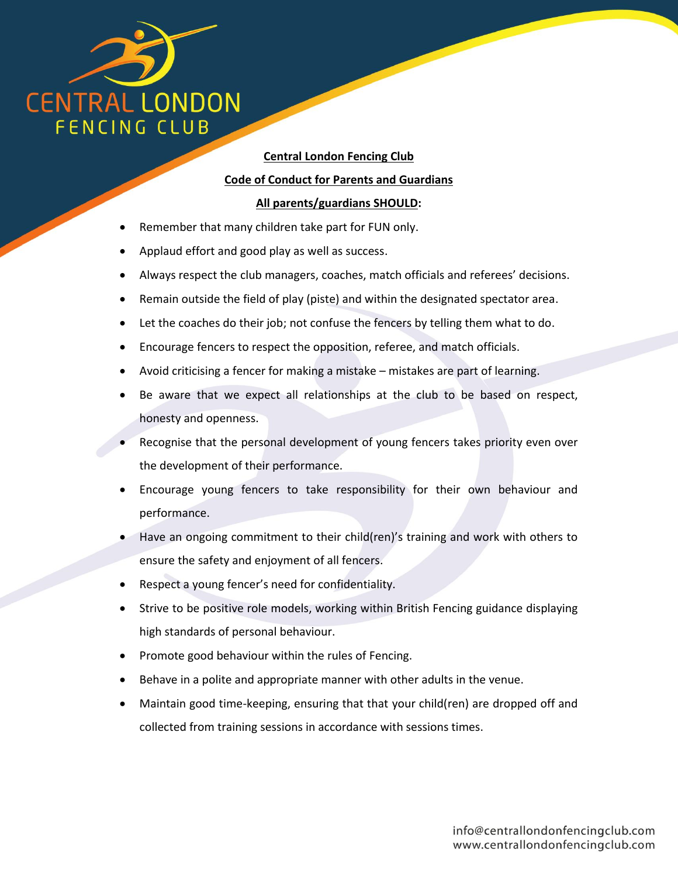

## **Central London Fencing Club Code of Conduct for Parents and Guardians All parents/guardians SHOULD:**

- Remember that many children take part for FUN only.
- Applaud effort and good play as well as success.
- Always respect the club managers, coaches, match officials and referees' decisions.
- Remain outside the field of play (piste) and within the designated spectator area.
- Let the coaches do their job; not confuse the fencers by telling them what to do.
- Encourage fencers to respect the opposition, referee, and match officials.
- Avoid criticising a fencer for making a mistake mistakes are part of learning.
- Be aware that we expect all relationships at the club to be based on respect, honesty and openness.
- Recognise that the personal development of young fencers takes priority even over the development of their performance.
- Encourage young fencers to take responsibility for their own behaviour and performance.
- Have an ongoing commitment to their child(ren)'s training and work with others to ensure the safety and enjoyment of all fencers.
- Respect a young fencer's need for confidentiality.
- Strive to be positive role models, working within British Fencing guidance displaying high standards of personal behaviour.
- Promote good behaviour within the rules of Fencing.
- Behave in a polite and appropriate manner with other adults in the venue.
- Maintain good time-keeping, ensuring that that your child(ren) are dropped off and collected from training sessions in accordance with sessions times.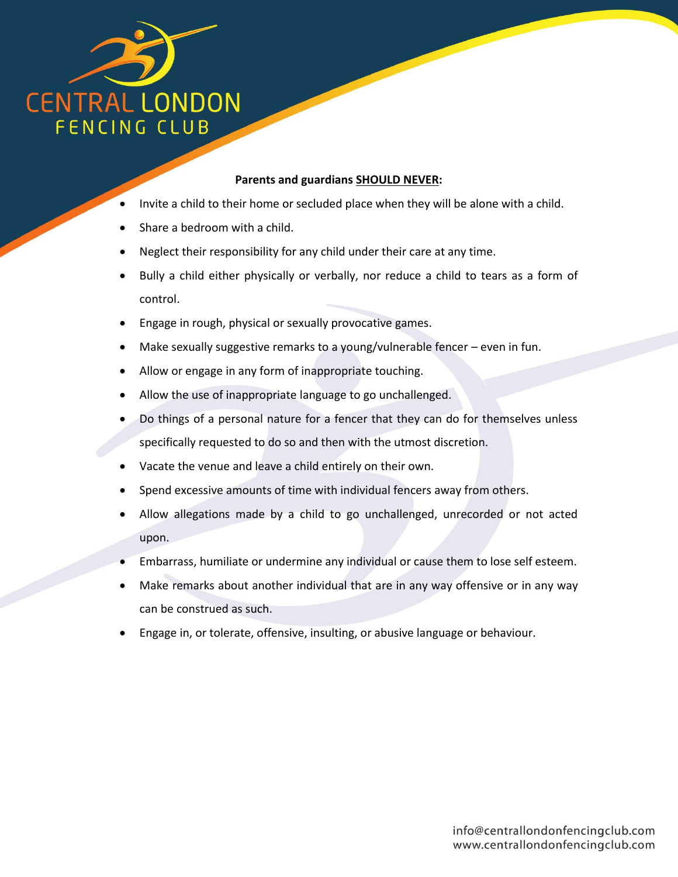

## **Parents and guardians SHOULD NEVER:**

- Invite a child to their home or secluded place when they will be alone with a child.
- Share a bedroom with a child.
- Neglect their responsibility for any child under their care at any time.
- Bully a child either physically or verbally, nor reduce a child to tears as a form of control.
- Engage in rough, physical or sexually provocative games.
- Make sexually suggestive remarks to a young/vulnerable fencer even in fun.
- Allow or engage in any form of inappropriate touching.
- Allow the use of inappropriate language to go unchallenged.
- Do things of a personal nature for a fencer that they can do for themselves unless specifically requested to do so and then with the utmost discretion.
- Vacate the venue and leave a child entirely on their own.
- Spend excessive amounts of time with individual fencers away from others.
- Allow allegations made by a child to go unchallenged, unrecorded or not acted upon.
- Embarrass, humiliate or undermine any individual or cause them to lose self esteem.
- Make remarks about another individual that are in any way offensive or in any way can be construed as such.
- Engage in, or tolerate, offensive, insulting, or abusive language or behaviour.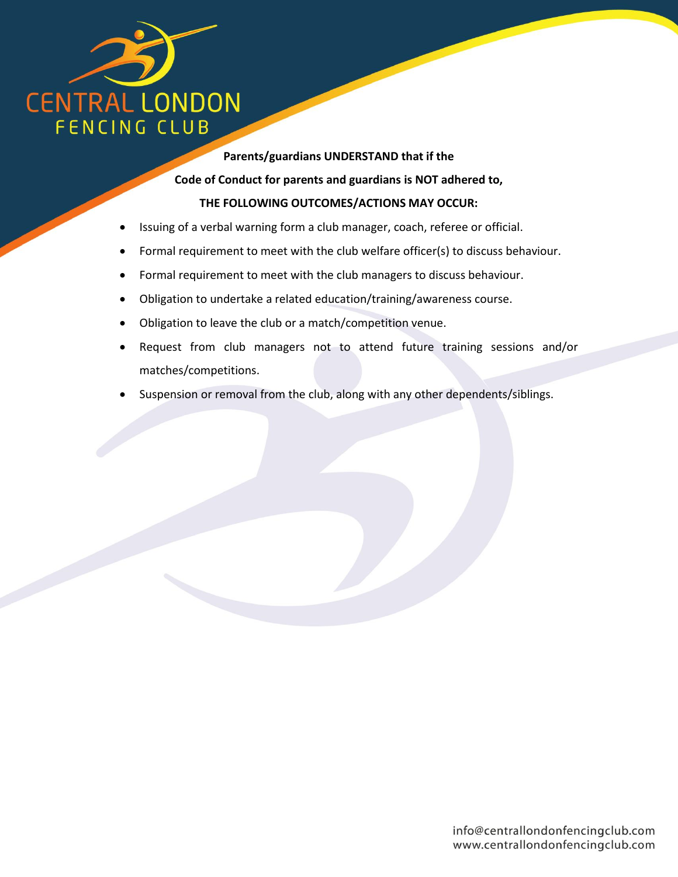

**Parents/guardians UNDERSTAND that if the Code of Conduct for parents and guardians is NOT adhered to, THE FOLLOWING OUTCOMES/ACTIONS MAY OCCUR:**

- Issuing of a verbal warning form a club manager, coach, referee or official.
- Formal requirement to meet with the club welfare officer(s) to discuss behaviour.
- Formal requirement to meet with the club managers to discuss behaviour.
- Obligation to undertake a related education/training/awareness course.
- Obligation to leave the club or a match/competition venue.
- Request from club managers not to attend future training sessions and/or matches/competitions.
- Suspension or removal from the club, along with any other dependents/siblings.